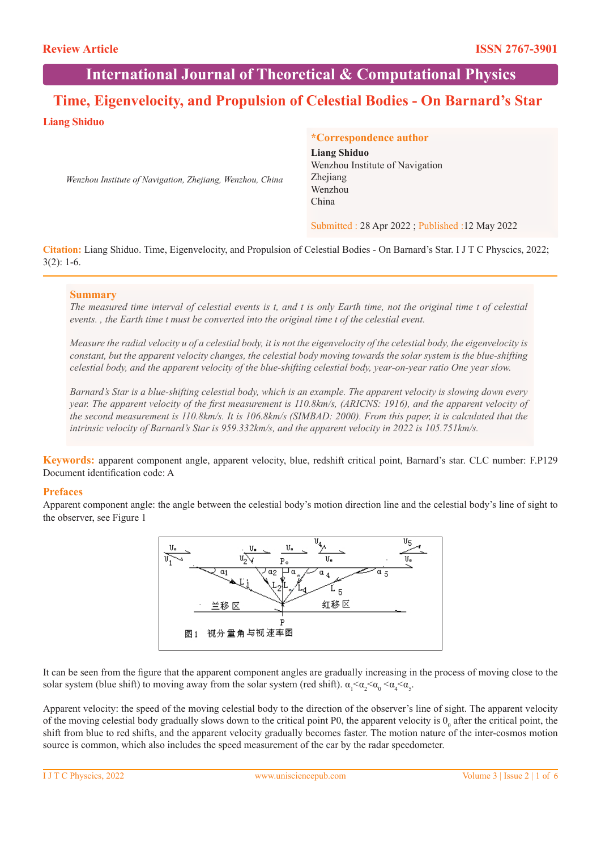# **International Journal of Theoretical & Computational Physics**

# **Time, Eigenvelocity, and Propulsion of Celestial Bodies - On Barnard's Star**

# **Liang Shiduo**

*Wenzhou Institute of Navigation, Zhejiang, Wenzhou, China*

### **\*Correspondence author**

**Liang Shiduo** Wenzhou Institute of Navigation Zhejiang Wenzhou China

Submitted : 28 Apr 2022 ; Published :12 May 2022

**Citation:** Liang Shiduo. Time, Eigenvelocity, and Propulsion of Celestial Bodies - On Barnard's Star. I J T C Physcics, 2022; 3(2): 1-6.

### **Summary**

*The measured time interval of celestial events is t, and t is only Earth time, not the original time t of celestial events. , the Earth time t must be converted into the original time t of the celestial event.*

*Measure the radial velocity u of a celestial body, it is not the eigenvelocity of the celestial body, the eigenvelocity is constant, but the apparent velocity changes, the celestial body moving towards the solar system is the blue-shifting celestial body, and the apparent velocity of the blue-shifting celestial body, year-on-year ratio One year slow.*

*Barnard's Star is a blue-shifting celestial body, which is an example. The apparent velocity is slowing down every year. The apparent velocity of the first measurement is 110.8km/s, (ARICNS: 1916), and the apparent velocity of the second measurement is 110.8km/s. It is 106.8km/s (SIMBAD: 2000). From this paper, it is calculated that the intrinsic velocity of Barnard's Star is 959.332km/s, and the apparent velocity in 2022 is 105.751km/s.*

**Keywords:** apparent component angle, apparent velocity, blue, redshift critical point, Barnard's star. CLC number: F.P129 Document identification code: A

## **Prefaces**

Apparent component angle: the angle between the celestial body's motion direction line and the celestial body's line of sight to the observer, see Figure 1



It can be seen from the figure that the apparent component angles are gradually increasing in the process of moving close to the solar system (blue shift) to moving away from the solar system (red shift).  $\alpha_1 < \alpha_2 < \alpha_0 < \alpha_4 < \alpha_5$ .

Apparent velocity: the speed of the moving celestial body to the direction of the observer's line of sight. The apparent velocity of the moving celestial body gradually slows down to the critical point P0, the apparent velocity is  $0<sub>o</sub>$  after the critical point, the shift from blue to red shifts, and the apparent velocity gradually becomes faster. The motion nature of the inter-cosmos motion source is common, which also includes the speed measurement of the car by the radar speedometer.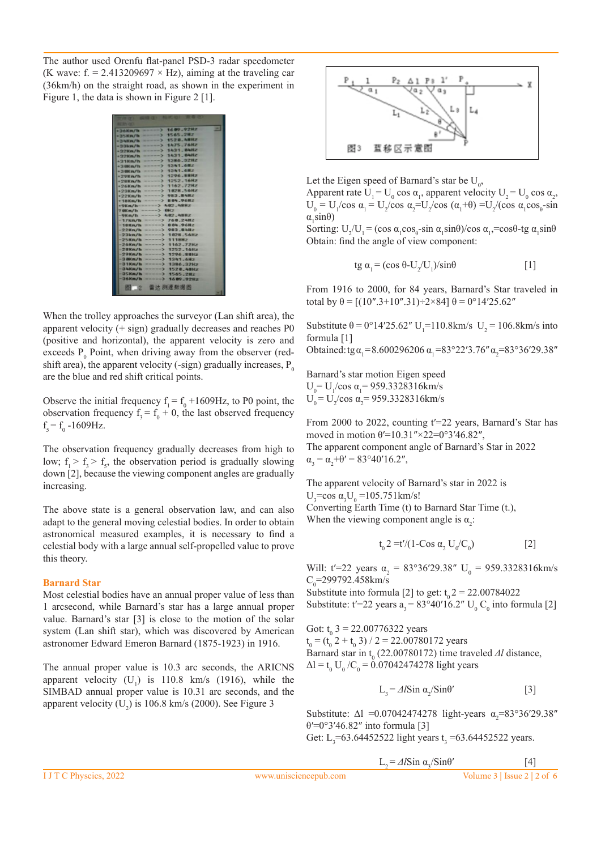The author used Orenfu flat-panel PSD-3 radar speedometer (K wave: f. = 2.413209697  $\times$  Hz), aiming at the traveling car (36km/h) on the straight road, as shown in the experiment in Figure 1, the data is shown in Figure 2 [1].

| $-34600.9282$<br>$-76$ Km/h                    |  |
|------------------------------------------------|--|
| $-51565.292$<br>$-35$ Kn/h                     |  |
| $-$ > 1520.48Hz<br>$+70$ half an $/10$         |  |
| $---> 1475.7692$<br>$+33km/h$                  |  |
| $-2 1421. BMR2$<br>$+32$ Km/h                  |  |
| $-51431.0482$<br>$+32$ Km/h                    |  |
| $-31386,0292$<br>$+2$ 1Km/h                    |  |
| $- - 3 1341.602$                               |  |
| +300m/h -----> 1341.6Hz                        |  |
| -29Km/h ----- > 1296.88Hz                      |  |
| +28Km/h ----- > 1252.16Hz                      |  |
| +26Km/h ------ > 1162.72Hz                     |  |
| $---2 1028.56Hz$<br>$+23$ Kn/h $-$             |  |
| $--->983.84Hz$<br>$+22$ Km/h                   |  |
| +18Km/h ------> 804.96Hz                       |  |
| ----> AR2.ABHz<br>$-9$ Km/h $-$                |  |
| ---> OHz<br>7 000 m/h -                        |  |
| $-9$ Ka/h -----> 402.48Hz                      |  |
| $-17km/h$ -----> 768.24Hz                      |  |
| ----> 884.96Hz<br>$-18$ Km/h $-$               |  |
| $-22$ Kn/h -----> 983.84Hz                     |  |
| =23km/h ------ > 1026.56Hz                     |  |
| $---2$ 111882<br>$-25$ Kn/h -                  |  |
| $-26$ Km/h ------> 1162.72Hz                   |  |
| =28Kn/h =====> 1252.16Hz                       |  |
| $---> 1296.8892$<br>$-29864$                   |  |
| $-446.1481 -$<br>$-2000n/h$                    |  |
| $-0.1286, 3287$<br>$-31$ Kn/h =                |  |
| $-2$ 1520.48Hz<br>$-3$ AKm/h                   |  |
| $-35$ Km/h<br>$-$ > 1565.2Hz<br>$-34$ Km/h $-$ |  |
| $-1609.9282$                                   |  |
| 图 2 雷达测速数据图                                    |  |

When the trolley approaches the surveyor (Lan shift area), the apparent velocity  $(+$  sign) gradually decreases and reaches P0 (positive and horizontal), the apparent velocity is zero and exceeds  $P_0$  Point, when driving away from the observer (redshift area), the apparent velocity (-sign) gradually increases,  $P_0$ are the blue and red shift critical points.

Observe the initial frequency  $f_1 = f_0 + 1609$  Hz, to P0 point, the observation frequency  $f_3 = f_0 + 0$ , the last observed frequency  $f<sub>5</sub> = f<sub>0</sub> - 1609 Hz.$ 

The observation frequency gradually decreases from high to low;  $f_1 > f_3 > f_5$ , the observation period is gradually slowing down [2], because the viewing component angles are gradually increasing.

The above state is a general observation law, and can also adapt to the general moving celestial bodies. In order to obtain astronomical measured examples, it is necessary to find a celestial body with a large annual self-propelled value to prove this theory.

#### **Barnard Star**

Most celestial bodies have an annual proper value of less than 1 arcsecond, while Barnard's star has a large annual proper value. Barnard's star [3] is close to the motion of the solar system (Lan shift star), which was discovered by American astronomer Edward Emeron Barnard (1875-1923) in 1916.

The annual proper value is 10.3 arc seconds, the ARICNS apparent velocity  $(U_1)$  is 110.8 km/s (1916), while the SIMBAD annual proper value is 10.31 arc seconds, and the apparent velocity  $(U_2)$  is 106.8 km/s (2000). See Figure 3



Let the Eigen speed of Barnard's star be  $U_0$ ,

Apparent rate  $U_1 = U_0 \cos \alpha_1$ , apparent velocity  $U_2 = U_0 \cos \alpha_2$ ,  $U_0 = U_1/cos \alpha_1 = U_2/cos \alpha_2 = U_2/cos (\alpha_1 + θ) = U_2/(cos \alpha_1 cos θ)$ -sin  $\alpha_1 \sin \theta$ )

Sorting:  $U_2/U_1 = (\cos \alpha_1 \cos \theta_1 - \sin \alpha_1 \sin \theta)/\cos \alpha_1 - \cos \theta - \cos \alpha_1 \sin \theta$ Obtain: find the angle of view component:

$$
tg \alpha_1 = (\cos \theta - U_2/U_1)/\sin \theta \tag{1}
$$

From 1916 to 2000, for 84 years, Barnard's Star traveled in total by  $θ = [(10", 3 + 10", 31) \div 2 \times 84]$   $θ = 0°14'25.62"$ 

Substitute  $\theta = 0^{\circ}14'25.62''$  U<sub>1</sub>=110.8km/s U<sub>2</sub> = 106.8km/s into formula [1]

Obtained: tg  $\alpha_1 = 8.600296206 \alpha_1 = 83^{\circ}22'3.76'' \alpha_2 = 83^{\circ}36'29.38''$ 

Barnard's star motion Eigen speed  $U_0 = U_1 / \cos \alpha_1 = 959.3328316 \text{km/s}$  $U_0 = U_2 / \cos \alpha_2 = 959.3328316 \text{km/s}$ 

From 2000 to 2022, counting t'=22 years, Barnard's Star has moved in motion θ'=10.31"×22=0°3'46.82",

The apparent component angle of Barnard's Star in 2022  $\alpha_3 = \alpha_2 + \theta' = 83^{\circ}40'16.2'',$ 

The apparent velocity of Barnard's star in 2022 is  $U_3$ =cos α<sub>3</sub>U<sub>0</sub> =105.751km/s! Converting Earth Time (t) to Barnard Star Time (t.), When the viewing component angle is  $\alpha_2$ :

$$
t_0 2 = t'/(1-Cos \alpha_2 U_0/C_0)
$$
 [2]

Will: t'=22 years  $\alpha_2 = 83^{\circ}36'29.38''$  U<sub>0</sub> = 959.3328316km/s  $C_0$ =299792.458km/s

Substitute into formula [2] to get:  $t_0$  2 = 22.00784022 Substitute: t'=22 years  $a_3 = 83^{\circ}40'16.2''$  U<sub>0</sub> C<sub>0</sub> into formula [2]

Got:  $t_0$  3 = 22.00776322 years  $t_0 = (t_0 2 + t_0 3) / 2 = 22.00780172$  years Barnard star in t<sub>0</sub> (22.00780172) time traveled *Δl* distance,  $\Delta l = t_0 U_0 / C_0 = 0.07042474278$  light years

$$
L_{3} = \Delta l \sin \alpha_{2} / \sin \theta' \qquad [3]
$$

Substitute:  $\Delta l$  = 0.07042474278 light-years  $\alpha_2 = 83^\circ 36' 29.38''$ θ′=0°3′46.82″ into formula [3] Get: L<sub>3</sub>=63.64452522 light years t<sub>3</sub> =63.64452522 years.

$$
L_2 = \Delta l \sin \alpha_3 / \sin \theta'
$$

 $[4]$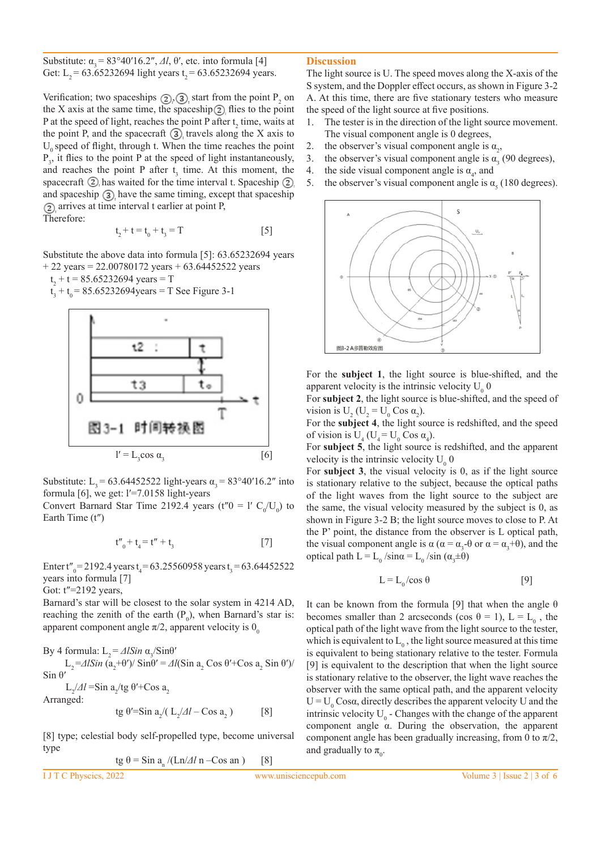Substitute:  $\alpha_3 = 83^\circ 40' 16.2''$ , *Δl*,  $\theta'$ , etc. into formula [4] Get: L<sub>2</sub> = 63.65232694 light years t<sub>2</sub> = 63.65232694 years.

Verification; two spaceships  $(2)$ ,  $(3)$  start from the point  $P_2$  on the X axis at the same time, the spaceship  $(2)$  flies to the point P at the speed of light, reaches the point P after  $t_2$  time, waits at the point P, and the spacecraft  $\Omega$ , travels along the X axis to  $U_0$  speed of flight, through t. When the time reaches the point  $P_3$ , it flies to the point P at the speed of light instantaneously, and reaches the point P after  $t_3$  time. At this moment, the spacecraft  $\Omega$ , has waited for the time interval t. Spaceship  $\Omega$ . and spaceship  $\Omega$  have the same timing, except that spaceship arrives at time interval t earlier at point P, Therefore:

$$
t_2 + t = t_0 + t_3 = T
$$

 $[5]$ 

Substitute the above data into formula [5]: 63.65232694 years  $+ 22$  years = 22.00780172 years  $+ 63.64452522$  years

 $t_2 + t = 85.65232694$  years = T

 $t_3 + t_0 = 85.65232694$ years = T See Figure 3-1



Substitute: L<sub>3</sub> = 63.64452522 light-years  $\alpha_3 = 83^{\circ}40'16.2''$  into formula [6], we get: l′=7.0158 light-years

Convert Barnard Star Time 2192.4 years (t'' $0 = 1' C_0/U_0$ ) to Earth Time (t″)

$$
t''_0 + t_4 = t'' + t_3 \tag{7}
$$

Enter t"<sub>0</sub>=2192.4 years t<sub>4</sub>=63.25560958 years t<sub>3</sub>=63.64452522 years into formula [7]

Got: t″=2192 years,

Barnard's star will be closest to the solar system in 4214 AD, reaching the zenith of the earth  $(P_0)$ , when Barnard's star is: apparent component angle  $\pi/2$ , apparent velocity is  $0_0$ 

By 4 formula:  $L_2 = \Delta l Sin \alpha_3 / Sin\theta'$ 

 $L_2 = \Delta l \sin (\mathbf{a}_2 + \theta') / \sin \theta' = \Delta l (\sin \mathbf{a}_2 \cos \theta' + \cos \mathbf{a}_2 \sin \theta') /$ Sin  $θ'$ 

 $L_2/dl = \sin a_2/tg \theta' + \cos a_2$ Arranged:

$$
tg \theta' = \sin a_2 / (L_2 / \Delta l - \cos a_2)
$$
 [8]

[8] type; celestial body self-propelled type, become universal type

$$
tg \theta = \sin a_n / (\text{Ln}/\Delta l \text{ n} - \cos \text{ an})
$$
 [8]

#### **Discussion**

The light source is U. The speed moves along the X-axis of the S system, and the Doppler effect occurs, as shown in Figure 3-2 A. At this time, there are five stationary testers who measure the speed of the light source at five positions.

- 1. The tester is in the direction of the light source movement. The visual component angle is 0 degrees,
- 2. the observer's visual component angle is  $\alpha_2$ ,
- 3. the observer's visual component angle is  $\alpha_3$  (90 degrees),
- 4. the side visual component angle is  $\alpha_4$ , and
- 5. the observer's visual component angle is  $\alpha_{5}$  (180 degrees).



For the **subject 1**, the light source is blue-shifted, and the apparent velocity is the intrinsic velocity  $U_0$  0

For **subject 2**, the light source is blue-shifted, and the speed of vision is  $U_2$  ( $U_2 = U_0$  Cos  $\alpha_2$ ).

For the **subject 4**, the light source is redshifted, and the speed of vision is  $U_4$  ( $U_4 = U_0$  Cos  $\alpha_4$ ).

For **subject 5**, the light source is redshifted, and the apparent velocity is the intrinsic velocity  $U_0$  0

For **subject 3**, the visual velocity is 0, as if the light source is stationary relative to the subject, because the optical paths of the light waves from the light source to the subject are the same, the visual velocity measured by the subject is 0, as shown in Figure 3-2 B; the light source moves to close to P. At the P' point, the distance from the observer is L optical path, the visual component angle is  $\alpha$  ( $\alpha = \alpha_3 - \theta$  or  $\alpha = \alpha_3 + \theta$ ), and the optical path  $L = L_0 / sin \alpha = L_0 / sin (\alpha_3 \pm \theta)$ 

$$
L = L_0 / \cos \theta \tag{9}
$$

It can be known from the formula [9] that when the angle  $\theta$ becomes smaller than 2 arcseconds (cos  $\theta = 1$ ),  $L = L_0$ , the optical path of the light wave from the light source to the tester, which is equivalent to  $L_0$ , the light source measured at this time is equivalent to being stationary relative to the tester. Formula [9] is equivalent to the description that when the light source is stationary relative to the observer, the light wave reaches the observer with the same optical path, and the apparent velocity  $U = U_0$  Cosa, directly describes the apparent velocity U and the intrinsic velocity  $U_0$  - Changes with the change of the apparent component angle α. During the observation, the apparent component angle has been gradually increasing, from 0 to  $\pi/2$ , and gradually to  $\pi_{0}$ .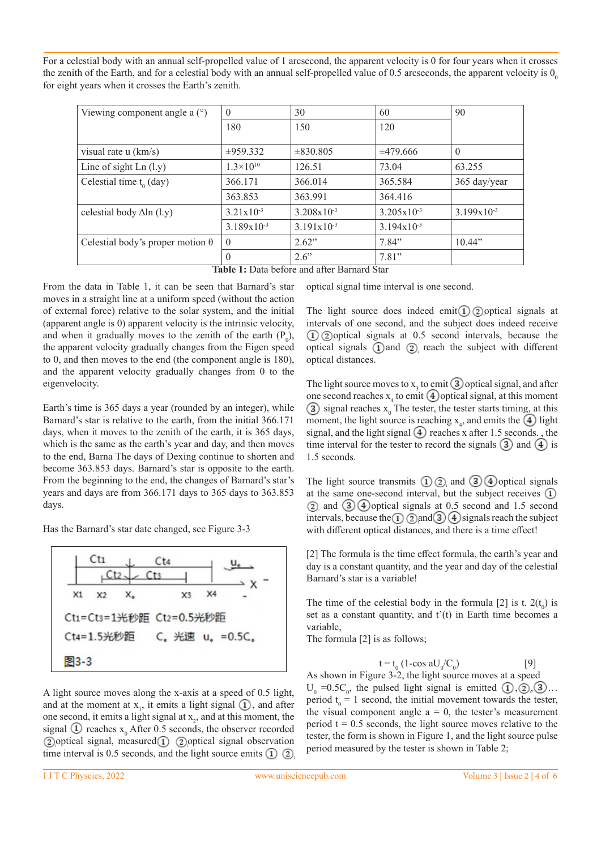For a celestial body with an annual self-propelled value of 1 arcsecond, the apparent velocity is 0 for four years when it crosses the zenith of the Earth, and for a celestial body with an annual self-propelled value of 0.5 arcseconds, the apparent velocity is  $0<sub>o</sub>$ for eight years when it crosses the Earth's zenith.

| Viewing component angle a $(°)$         | $\theta$                                                 | 30                                 | 60                     | 90              |
|-----------------------------------------|----------------------------------------------------------|------------------------------------|------------------------|-----------------|
|                                         | 180                                                      | 150                                | 120                    |                 |
| visual rate $u$ (km/s)                  | $\pm 959.332$                                            | $\pm 830.805$                      | $\pm 479.666$          | $\theta$        |
| Line of sight $Ln (l.y)$                | $1.3\times10^{10}$                                       | 126.51                             | 73.04                  | 63.255          |
| Celestial time $t_0$ (day)              | 366.171                                                  | 366.014                            | 365.584                | 365 day/year    |
|                                         | 363.853                                                  | 363.991                            | 364.416                |                 |
| celestial body $\Delta$ ln (l.y)        | $3.21x10^{-3}$                                           | $3.208 \times 10^{-3}$             | $3.205 \times 10^{-3}$ | $3.199x10^{-3}$ |
|                                         | $3.189x10^{-3}$                                          | $3.191x10^{-3}$                    | $3.194x10^{-3}$        |                 |
| Celestial body's proper motion $\theta$ | $\theta$                                                 | 2.62"                              | 7.84"                  | 10.44"          |
|                                         | 0<br>$\sim$ $\sim$<br>-- - -<br>$\overline{\phantom{a}}$ | 2.6"<br>$\sim$<br>$\sim$<br>$\sim$ | 7.81"                  |                 |

**Table 1:** Data before and after Barnard Star

From the data in Table 1, it can be seen that Barnard's star moves in a straight line at a uniform speed (without the action of external force) relative to the solar system, and the initial (apparent angle is 0) apparent velocity is the intrinsic velocity, and when it gradually moves to the zenith of the earth  $(P_0)$ , the apparent velocity gradually changes from the Eigen speed to 0, and then moves to the end (the component angle is 180), and the apparent velocity gradually changes from 0 to the eigenvelocity.

Earth's time is 365 days a year (rounded by an integer), while Barnard's star is relative to the earth, from the initial 366.171 days, when it moves to the zenith of the earth, it is 365 days, which is the same as the earth's year and day, and then moves to the end, Barna The days of Dexing continue to shorten and become 363.853 days. Barnard's star is opposite to the earth. From the beginning to the end, the changes of Barnard's star's years and days are from 366.171 days to 365 days to 363.853 days.

Has the Barnard's star date changed, see Figure 3-3



A light source moves along the x-axis at a speed of 0.5 light, and at the moment at  $x_1$ , it emits a light signal  $(1)$ , and after one second, it emits a light signal at  $x_2$ , and at this moment, the signal (1) reaches  $x_0$  After 0.5 seconds, the observer recorded  $\Omega$  optical signal, measured  $\Omega$   $\Omega$  optical signal observation time interval is 0.5 seconds, and the light source emits  $(1)$   $(2)$ 

optical signal time interval is one second.

The light source does indeed emit (1) 2) optical signals at intervals of one second, and the subject does indeed receive  $\Omega$  2) optical signals at 0.5 second intervals, because the optical signals  $\Omega$  and  $\Omega$  reach the subject with different optical distances.

The light source moves to  $x_3$  to emit (3) optical signal, and after one second reaches  $x_4$  to emit  $(4)$  optical signal, at this moment signal reaches  $x_0$  The tester, the tester starts timing, at this moment, the light source is reaching  $x_4$ , and emits the  $(4)$  light signal, and the light signal  $\left(4\right)$  reaches x after 1.5 seconds., the time interval for the tester to record the signals  $\mathcal{F}$  and  $\mathcal{F}$  is 1.5 seconds.

The light source transmits  $\Omega$   $\Omega$  and  $\Omega$   $\Theta$  optical signals at the same one-second interval, but the subject receives  $\Omega$  $(2)$  and  $(3)$  4 optical signals at 0.5 second and 1.5 second intervals, because the  $\Omega$   $\Omega$  and  $\Omega$   $\Omega$  signals reach the subject with different optical distances, and there is a time effect!

[2] The formula is the time effect formula, the earth's year and day is a constant quantity, and the year and day of the celestial Barnard's star is a variable!

The time of the celestial body in the formula [2] is t.  $2(t_0)$  is set as a constant quantity, and  $t'(t)$  in Earth time becomes a variable,

The formula [2] is as follows;

$$
t = t_0 \left( 1 - \cos a U_0 / C_0 \right) \tag{9}
$$

As shown in Figure 3-2, the light source moves at a speed  $U_0 = 0.5C_0$ , the pulsed light signal is emitted  $(1), (2), (3) \dots$ period  $t_0 = 1$  second, the initial movement towards the tester, the visual component angle  $a = 0$ , the tester's measurement period  $t = 0.5$  seconds, the light source moves relative to the tester, the form is shown in Figure 1, and the light source pulse period measured by the tester is shown in Table 2;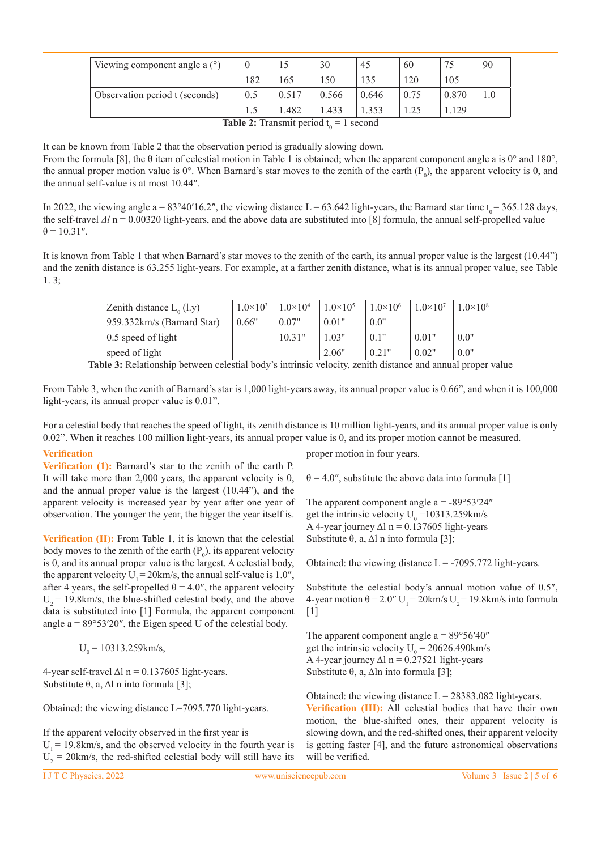| Viewing component angle a $(°)$                     |     |       | 30    | 45    | 60   |       | 90 |
|-----------------------------------------------------|-----|-------|-------|-------|------|-------|----|
|                                                     | 182 | 165   | 150   | 135   | 120  | 105   |    |
| Observation period t (seconds)                      | 0.5 | 0.517 | 0.566 | 0.646 | 0.75 | 0.870 |    |
|                                                     |     | 1.482 | .433  | .353  |      | .129  |    |
| $\text{Table 3.}$ Then such a suit $14 - 1$ second. |     |       |       |       |      |       |    |

**Table 2:** Transmit period  $t_0 = 1$  second

It can be known from Table 2 that the observation period is gradually slowing down.

From the formula [8], the  $\theta$  item of celestial motion in Table 1 is obtained; when the apparent component angle a is 0° and 180°, the annual proper motion value is  $0^\circ$ . When Barnard's star moves to the zenith of the earth  $(P_0)$ , the apparent velocity is 0, and the annual self-value is at most 10.44″.

In 2022, the viewing angle a =  $83^{\circ}40'16.2''$ , the viewing distance L =  $63.642$  light-years, the Barnard star time t<sub>0</sub> = 365.128 days, the self-travel *Δl* n = 0.00320 light-years, and the above data are substituted into [8] formula, the annual self-propelled value  $\theta = 10.31''$ .

It is known from Table 1 that when Barnard's star moves to the zenith of the earth, its annual proper value is the largest (10.44") and the zenith distance is 63.255 light-years. For example, at a farther zenith distance, what is its annual proper value, see Table 1. 3;

| Zenith distance $L_0$ (l.y) | $1.0 \times 10^3$ | $1.0 \times 10^{4}$ | $1.0\times10^{5}$ | $1.0\times10^{6}$ | $1.0 \times 10^{7}$ | $1.0 \times 10^8$ |
|-----------------------------|-------------------|---------------------|-------------------|-------------------|---------------------|-------------------|
| 959.332km/s (Barnard Star)  | 0.66"             | 0.07"               | 0.01"             | 0.0"              |                     |                   |
| 0.5 speed of light          |                   | 10.31"              | 1.03"             | 0.1"              | 0.01"               | 0.0"              |
| speed of light              |                   |                     | 2.06"             | 0.21"             | 0.02"               | 0.0"              |

**Table 3:** Relationship between celestial body's intrinsic velocity, zenith distance and annual proper value

From Table 3, when the zenith of Barnard's star is 1,000 light-years away, its annual proper value is 0.66", and when it is 100,000 light-years, its annual proper value is 0.01".

For a celestial body that reaches the speed of light, its zenith distance is 10 million light-years, and its annual proper value is only 0.02". When it reaches 100 million light-years, its annual proper value is 0, and its proper motion cannot be measured.

## **Verification**

**Verification (1):** Barnard's star to the zenith of the earth P. It will take more than 2,000 years, the apparent velocity is 0, and the annual proper value is the largest (10.44"), and the apparent velocity is increased year by year after one year of observation. The younger the year, the bigger the year itself is.

**Verification (II):** From Table 1, it is known that the celestial body moves to the zenith of the earth  $(P_0)$ , its apparent velocity is 0, and its annual proper value is the largest. A celestial body, the apparent velocity  $U_1 = 20 \text{km/s}$ , the annual self-value is 1.0", after 4 years, the self-propelled  $\theta = 4.0$ ", the apparent velocity  $U_2$  = 19.8km/s, the blue-shifted celestial body, and the above data is substituted into [1] Formula, the apparent component angle a = 89°53′20″, the Eigen speed U of the celestial body.

 $U_0 = 10313.259 \text{km/s},$ 

4-year self-travel  $\Delta l$  n = 0.137605 light-years. Substitute  $θ$ , a,  $Δl$  n into formula [3];

Obtained: the viewing distance L=7095.770 light-years.

If the apparent velocity observed in the first year is  $U_1$  = 19.8km/s, and the observed velocity in the fourth year is  $U_2$  = 20 km/s, the red-shifted celestial body will still have its

proper motion in four years.

 $\theta = 4.0$ ", substitute the above data into formula [1]

The apparent component angle  $a = -89^{\circ}53'24''$ get the intrinsic velocity  $U_0 = 10313.259 \text{km/s}$ A 4-year journey  $\Delta l$  n = 0.137605 light-years Substitute  $θ$ , a,  $Δl$  n into formula [3];

Obtained: the viewing distance  $L = -7095.772$  light-years.

Substitute the celestial body's annual motion value of 0.5″, 4-year motion  $\theta = 2.0$ " U<sub>1</sub> = 20km/s U<sub>2</sub> = 19.8km/s into formula  $[1]$ 

The apparent component angle  $a = 89^{\circ}56'40''$ get the intrinsic velocity  $U_0 = 20626.490 \text{km/s}$ A 4-year journey  $\Delta l$  n = 0.27521 light-years Substitute  $θ$ , a,  $Δln$  into formula [3];

Obtained: the viewing distance  $L = 28383.082$  light-years. **Verification (III):** All celestial bodies that have their own motion, the blue-shifted ones, their apparent velocity is slowing down, and the red-shifted ones, their apparent velocity is getting faster [4], and the future astronomical observations will be verified.